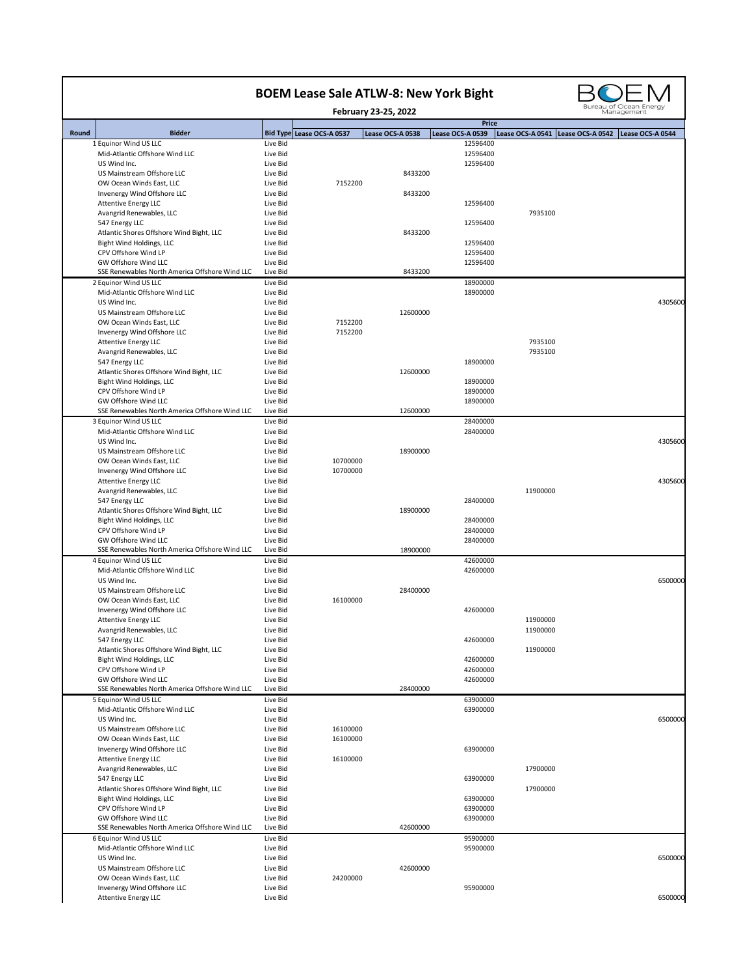|       |                                                                      |                      | <b>BOEM Lease Sale ATLW-8: New York Bight</b> |                      |                                  |                  | Bureau of Ocean Energy               |
|-------|----------------------------------------------------------------------|----------------------|-----------------------------------------------|----------------------|----------------------------------|------------------|--------------------------------------|
|       |                                                                      |                      |                                               | February 23-25, 2022 |                                  |                  | Management                           |
| Round | <b>Bidder</b>                                                        |                      | Bid Type Lease OCS-A 0537                     | Lease OCS-A 0538     | <b>Price</b><br>Lease OCS-A 0539 | Lease OCS-A 0541 | Lease OCS-A 0542<br>Lease OCS-A 0544 |
|       | 1 Equinor Wind US LLC                                                | Live Bid             |                                               |                      | 12596400                         |                  |                                      |
|       | Mid-Atlantic Offshore Wind LLC                                       | Live Bid             |                                               |                      | 12596400                         |                  |                                      |
|       | US Wind Inc.<br>US Mainstream Offshore LLC                           | Live Bid<br>Live Bid |                                               | 8433200              | 12596400                         |                  |                                      |
|       | OW Ocean Winds East, LLC                                             | Live Bid             | 7152200                                       |                      |                                  |                  |                                      |
|       | Invenergy Wind Offshore LLC                                          | Live Bid             |                                               | 8433200              |                                  |                  |                                      |
|       | <b>Attentive Energy LLC</b>                                          | Live Bid             |                                               |                      | 12596400                         |                  |                                      |
|       | Avangrid Renewables, LLC                                             | Live Bid             |                                               |                      |                                  | 7935100          |                                      |
|       | 547 Energy LLC                                                       | Live Bid             |                                               |                      | 12596400                         |                  |                                      |
|       | Atlantic Shores Offshore Wind Bight, LLC<br>Bight Wind Holdings, LLC | Live Bid<br>Live Bid |                                               | 8433200              | 12596400                         |                  |                                      |
|       | CPV Offshore Wind LP                                                 | Live Bid             |                                               |                      | 12596400                         |                  |                                      |
|       | <b>GW Offshore Wind LLC</b>                                          | Live Bid             |                                               |                      | 12596400                         |                  |                                      |
|       | SSE Renewables North America Offshore Wind LLC                       | Live Bid             |                                               | 8433200              |                                  |                  |                                      |
|       | 2 Equinor Wind US LLC                                                | Live Bid             |                                               |                      | 18900000                         |                  |                                      |
|       | Mid-Atlantic Offshore Wind LLC                                       | Live Bid             |                                               |                      | 18900000                         |                  |                                      |
|       | US Wind Inc.<br>US Mainstream Offshore LLC                           | Live Bid<br>Live Bid |                                               | 12600000             |                                  |                  | 4305600                              |
|       | OW Ocean Winds East, LLC                                             | Live Bid             | 7152200                                       |                      |                                  |                  |                                      |
|       | Invenergy Wind Offshore LLC                                          | Live Bid             | 7152200                                       |                      |                                  |                  |                                      |
|       | <b>Attentive Energy LLC</b>                                          | Live Bid             |                                               |                      |                                  | 7935100          |                                      |
|       | Avangrid Renewables, LLC                                             | Live Bid             |                                               |                      |                                  | 7935100          |                                      |
|       | 547 Energy LLC                                                       | Live Bid             |                                               |                      | 18900000                         |                  |                                      |
|       | Atlantic Shores Offshore Wind Bight, LLC<br>Bight Wind Holdings, LLC | Live Bid<br>Live Bid |                                               | 12600000             | 18900000                         |                  |                                      |
|       | CPV Offshore Wind LP                                                 | Live Bid             |                                               |                      | 18900000                         |                  |                                      |
|       | GW Offshore Wind LLC                                                 | Live Bid             |                                               |                      | 18900000                         |                  |                                      |
|       | SSE Renewables North America Offshore Wind LLC                       | Live Bid             |                                               | 12600000             |                                  |                  |                                      |
|       | 3 Equinor Wind US LLC                                                | Live Bid             |                                               |                      | 28400000                         |                  |                                      |
|       | Mid-Atlantic Offshore Wind LLC                                       | Live Bid             |                                               |                      | 28400000                         |                  |                                      |
|       | US Wind Inc.<br>US Mainstream Offshore LLC                           | Live Bid<br>Live Bid |                                               | 18900000             |                                  |                  | 4305600                              |
|       | OW Ocean Winds East, LLC                                             | Live Bid             | 10700000                                      |                      |                                  |                  |                                      |
|       | Invenergy Wind Offshore LLC                                          | Live Bid             | 10700000                                      |                      |                                  |                  |                                      |
|       | <b>Attentive Energy LLC</b>                                          | Live Bid             |                                               |                      |                                  |                  | 4305600                              |
|       | Avangrid Renewables, LLC                                             | Live Bid             |                                               |                      |                                  | 11900000         |                                      |
|       | 547 Energy LLC                                                       | Live Bid             |                                               |                      | 28400000                         |                  |                                      |
|       | Atlantic Shores Offshore Wind Bight, LLC<br>Bight Wind Holdings, LLC | Live Bid<br>Live Bid |                                               | 18900000             | 28400000                         |                  |                                      |
|       | CPV Offshore Wind LP                                                 | Live Bid             |                                               |                      | 28400000                         |                  |                                      |
|       | GW Offshore Wind LLC                                                 | Live Bid             |                                               |                      | 28400000                         |                  |                                      |
|       | SSE Renewables North America Offshore Wind LLC                       | Live Bid             |                                               | 18900000             |                                  |                  |                                      |
|       | 4 Equinor Wind US LLC                                                | Live Bid             |                                               |                      | 42600000                         |                  |                                      |
|       | Mid-Atlantic Offshore Wind LLC                                       | Live Bid             |                                               |                      | 42600000                         |                  |                                      |
|       | US Wind Inc.<br>US Mainstream Offshore LLC                           | Live Bid<br>Live Bid |                                               | 28400000             |                                  |                  | 6500000                              |
|       | OW Ocean Winds East, LLC                                             | Live Bid             | 16100000                                      |                      |                                  |                  |                                      |
|       | Invenergy Wind Offshore LLC                                          | Live Bid             |                                               |                      | 42600000                         |                  |                                      |
|       | <b>Attentive Energy LLC</b>                                          | Live Bid             |                                               |                      |                                  | 11900000         |                                      |
|       | Avangrid Renewables, LLC                                             | Live Bid             |                                               |                      |                                  | 11900000         |                                      |
|       | 547 Energy LLC                                                       | Live Bid             |                                               |                      | 42600000                         |                  |                                      |
|       | Atlantic Shores Offshore Wind Bight, LLC<br>Bight Wind Holdings, LLC | Live Bid<br>Live Bid |                                               |                      | 42600000                         | 11900000         |                                      |
|       | CPV Offshore Wind LP                                                 | Live Bid             |                                               |                      | 42600000                         |                  |                                      |
|       | <b>GW Offshore Wind LLC</b>                                          | Live Bid             |                                               |                      | 42600000                         |                  |                                      |
|       | SSE Renewables North America Offshore Wind LLC                       | Live Bid             |                                               | 28400000             |                                  |                  |                                      |
|       | 5 Equinor Wind US LLC                                                | Live Bid             |                                               |                      | 63900000                         |                  |                                      |
|       | Mid-Atlantic Offshore Wind LLC                                       | Live Bid             |                                               |                      | 63900000                         |                  |                                      |
|       | US Wind Inc.                                                         | Live Bid             |                                               |                      |                                  |                  | 6500000                              |
|       | US Mainstream Offshore LLC<br>OW Ocean Winds East, LLC               | Live Bid<br>Live Bid | 16100000<br>16100000                          |                      |                                  |                  |                                      |
|       | Invenergy Wind Offshore LLC                                          | Live Bid             |                                               |                      | 63900000                         |                  |                                      |
|       | <b>Attentive Energy LLC</b>                                          | Live Bid             | 16100000                                      |                      |                                  |                  |                                      |
|       | Avangrid Renewables, LLC                                             | Live Bid             |                                               |                      |                                  | 17900000         |                                      |
|       | 547 Energy LLC                                                       | Live Bid             |                                               |                      | 63900000                         |                  |                                      |
|       | Atlantic Shores Offshore Wind Bight, LLC                             | Live Bid             |                                               |                      |                                  | 17900000         |                                      |
|       | Bight Wind Holdings, LLC<br>CPV Offshore Wind LP                     | Live Bid<br>Live Bid |                                               |                      | 63900000<br>63900000             |                  |                                      |
|       | GW Offshore Wind LLC                                                 | Live Bid             |                                               |                      | 63900000                         |                  |                                      |
|       | SSE Renewables North America Offshore Wind LLC                       | Live Bid             |                                               | 42600000             |                                  |                  |                                      |
|       | 6 Equinor Wind US LLC                                                | Live Bid             |                                               |                      | 95900000                         |                  |                                      |
|       |                                                                      | Live Bid             |                                               |                      | 95900000                         |                  |                                      |
|       | Mid-Atlantic Offshore Wind LLC                                       |                      |                                               |                      |                                  |                  |                                      |
|       | US Wind Inc.                                                         | Live Bid             |                                               |                      |                                  |                  |                                      |
|       | US Mainstream Offshore LLC                                           | Live Bid             |                                               | 42600000             |                                  |                  | 6500000                              |
|       | OW Ocean Winds East, LLC<br>Invenergy Wind Offshore LLC              | Live Bid<br>Live Bid | 24200000                                      |                      | 95900000                         |                  |                                      |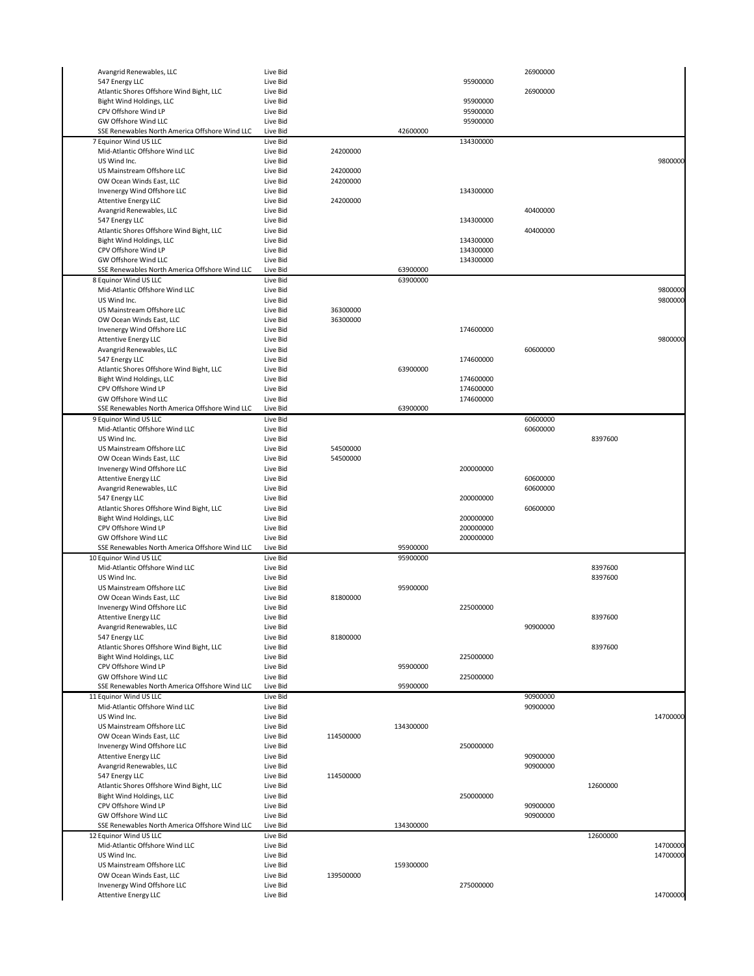| Avangrid Renewables, LLC                                   | Live Bid             |           |           |           | 26900000 |          |          |
|------------------------------------------------------------|----------------------|-----------|-----------|-----------|----------|----------|----------|
| 547 Energy LLC                                             | Live Bid             |           |           | 95900000  |          |          |          |
| Atlantic Shores Offshore Wind Bight, LLC                   | Live Bid             |           |           |           | 26900000 |          |          |
|                                                            |                      |           |           |           |          |          |          |
| Bight Wind Holdings, LLC                                   | Live Bid             |           |           | 95900000  |          |          |          |
| CPV Offshore Wind LP                                       | Live Bid             |           |           | 95900000  |          |          |          |
| GW Offshore Wind LLC                                       | Live Bid             |           |           | 95900000  |          |          |          |
| SSE Renewables North America Offshore Wind LLC             | Live Bid             |           | 42600000  |           |          |          |          |
| 7 Equinor Wind US LLC                                      | Live Bid             |           |           | 134300000 |          |          |          |
| Mid-Atlantic Offshore Wind LLC                             | Live Bid             | 24200000  |           |           |          |          |          |
| US Wind Inc.                                               | Live Bid             |           |           |           |          |          | 9800000  |
| US Mainstream Offshore LLC                                 | Live Bid             | 24200000  |           |           |          |          |          |
|                                                            |                      |           |           |           |          |          |          |
| OW Ocean Winds East, LLC                                   | Live Bid             | 24200000  |           |           |          |          |          |
| Invenergy Wind Offshore LLC                                | Live Bid             |           |           | 134300000 |          |          |          |
| <b>Attentive Energy LLC</b>                                | Live Bid             | 24200000  |           |           |          |          |          |
| Avangrid Renewables, LLC                                   | Live Bid             |           |           |           | 40400000 |          |          |
| 547 Energy LLC                                             | Live Bid             |           |           | 134300000 |          |          |          |
|                                                            |                      |           |           |           |          |          |          |
| Atlantic Shores Offshore Wind Bight, LLC                   | Live Bid             |           |           |           | 40400000 |          |          |
| Bight Wind Holdings, LLC                                   | Live Bid             |           |           | 134300000 |          |          |          |
| CPV Offshore Wind LP                                       | Live Bid             |           |           | 134300000 |          |          |          |
| GW Offshore Wind LLC                                       | Live Bid             |           |           | 134300000 |          |          |          |
| SSE Renewables North America Offshore Wind LLC             | Live Bid             |           | 63900000  |           |          |          |          |
| 8 Equinor Wind US LLC                                      | Live Bid             |           | 63900000  |           |          |          |          |
| Mid-Atlantic Offshore Wind LLC                             | Live Bid             |           |           |           |          |          | 9800000  |
|                                                            |                      |           |           |           |          |          |          |
| US Wind Inc.                                               | Live Bid             |           |           |           |          |          | 9800000  |
| US Mainstream Offshore LLC                                 | Live Bid             | 36300000  |           |           |          |          |          |
| OW Ocean Winds East, LLC                                   | Live Bid             | 36300000  |           |           |          |          |          |
| Invenergy Wind Offshore LLC                                | Live Bid             |           |           | 174600000 |          |          |          |
| <b>Attentive Energy LLC</b>                                | Live Bid             |           |           |           |          |          | 9800000  |
|                                                            |                      |           |           |           |          |          |          |
| Avangrid Renewables, LLC                                   | Live Bid             |           |           |           | 60600000 |          |          |
| 547 Energy LLC                                             | Live Bid             |           |           | 174600000 |          |          |          |
| Atlantic Shores Offshore Wind Bight, LLC                   | Live Bid             |           | 63900000  |           |          |          |          |
| Bight Wind Holdings, LLC                                   | Live Bid             |           |           | 174600000 |          |          |          |
| CPV Offshore Wind LP                                       | Live Bid             |           |           | 174600000 |          |          |          |
| GW Offshore Wind LLC                                       | Live Bid             |           |           | 174600000 |          |          |          |
| SSE Renewables North America Offshore Wind LLC             | Live Bid             |           | 63900000  |           |          |          |          |
|                                                            |                      |           |           |           |          |          |          |
| 9 Equinor Wind US LLC                                      | Live Bid             |           |           |           | 60600000 |          |          |
| Mid-Atlantic Offshore Wind LLC                             | Live Bid             |           |           |           | 60600000 |          |          |
| US Wind Inc.                                               | Live Bid             |           |           |           |          | 8397600  |          |
| US Mainstream Offshore LLC                                 | Live Bid             | 54500000  |           |           |          |          |          |
| OW Ocean Winds East, LLC                                   | Live Bid             | 54500000  |           |           |          |          |          |
|                                                            | Live Bid             |           |           | 200000000 |          |          |          |
| Invenergy Wind Offshore LLC                                |                      |           |           |           |          |          |          |
| <b>Attentive Energy LLC</b>                                | Live Bid             |           |           |           | 60600000 |          |          |
| Avangrid Renewables, LLC                                   | Live Bid             |           |           |           | 60600000 |          |          |
| 547 Energy LLC                                             | Live Bid             |           |           | 200000000 |          |          |          |
| Atlantic Shores Offshore Wind Bight, LLC                   | Live Bid             |           |           |           | 60600000 |          |          |
|                                                            |                      |           |           |           |          |          |          |
|                                                            |                      |           |           |           |          |          |          |
| Bight Wind Holdings, LLC                                   | Live Bid             |           |           | 200000000 |          |          |          |
| CPV Offshore Wind LP                                       | Live Bid             |           |           | 200000000 |          |          |          |
| GW Offshore Wind LLC                                       | Live Bid             |           |           | 200000000 |          |          |          |
| SSE Renewables North America Offshore Wind LLC             | Live Bid             |           | 95900000  |           |          |          |          |
| 10 Equinor Wind US LLC                                     | Live Bid             |           | 95900000  |           |          |          |          |
|                                                            |                      |           |           |           |          |          |          |
| Mid-Atlantic Offshore Wind LLC                             | Live Bid             |           |           |           |          | 8397600  |          |
| US Wind Inc.                                               | Live Bid             |           |           |           |          | 8397600  |          |
| US Mainstream Offshore LLC                                 | Live Bid             |           | 95900000  |           |          |          |          |
| OW Ocean Winds East, LLC                                   | Live Bid             | 81800000  |           |           |          |          |          |
| Invenergy Wind Offshore LLC                                | Live Bid             |           |           | 225000000 |          |          |          |
| <b>Attentive Energy LLC</b>                                | Live Bid             |           |           |           |          | 8397600  |          |
| Avangrid Renewables, LLC                                   | Live Bid             |           |           |           | 90900000 |          |          |
|                                                            |                      |           |           |           |          |          |          |
| 547 Energy LLC                                             | Live Bid             | 81800000  |           |           |          |          |          |
| Atlantic Shores Offshore Wind Bight, LLC                   | Live Bid             |           |           |           |          | 8397600  |          |
| Bight Wind Holdings, LLC                                   | Live Bid             |           |           | 225000000 |          |          |          |
| CPV Offshore Wind LP                                       | Live Bid             |           | 95900000  |           |          |          |          |
| GW Offshore Wind LLC                                       | Live Bid             |           |           | 225000000 |          |          |          |
| SSE Renewables North America Offshore Wind LLC             | Live Bid             |           | 95900000  |           |          |          |          |
|                                                            |                      |           |           |           |          |          |          |
| 11 Equinor Wind US LLC                                     | Live Bid             |           |           |           | 90900000 |          |          |
| Mid-Atlantic Offshore Wind LLC                             | Live Bid             |           |           |           | 90900000 |          |          |
| US Wind Inc.                                               | Live Bid             |           |           |           |          |          | 14700000 |
| US Mainstream Offshore LLC                                 | Live Bid             |           | 134300000 |           |          |          |          |
| OW Ocean Winds East, LLC                                   | Live Bid             | 114500000 |           |           |          |          |          |
| Invenergy Wind Offshore LLC                                | Live Bid             |           |           | 250000000 |          |          |          |
|                                                            |                      |           |           |           |          |          |          |
| <b>Attentive Energy LLC</b>                                | Live Bid             |           |           |           | 90900000 |          |          |
| Avangrid Renewables, LLC                                   | Live Bid             |           |           |           | 90900000 |          |          |
| 547 Energy LLC                                             | Live Bid             | 114500000 |           |           |          |          |          |
| Atlantic Shores Offshore Wind Bight, LLC                   | Live Bid             |           |           |           |          | 12600000 |          |
| Bight Wind Holdings, LLC                                   | Live Bid             |           |           | 250000000 |          |          |          |
| CPV Offshore Wind LP                                       | Live Bid             |           |           |           | 90900000 |          |          |
| GW Offshore Wind LLC                                       | Live Bid             |           |           |           | 90900000 |          |          |
|                                                            |                      |           |           |           |          |          |          |
| SSE Renewables North America Offshore Wind LLC             | Live Bid             |           | 134300000 |           |          |          |          |
| 12 Equinor Wind US LLC                                     | Live Bid             |           |           |           |          | 12600000 |          |
| Mid-Atlantic Offshore Wind LLC                             | Live Bid             |           |           |           |          |          | 14700000 |
| US Wind Inc.                                               | Live Bid             |           |           |           |          |          | 14700000 |
| US Mainstream Offshore LLC                                 | Live Bid             |           | 159300000 |           |          |          |          |
|                                                            |                      |           |           |           |          |          |          |
| OW Ocean Winds East, LLC                                   | Live Bid             | 139500000 |           |           |          |          |          |
| Invenergy Wind Offshore LLC<br><b>Attentive Energy LLC</b> | Live Bid<br>Live Bid |           |           | 275000000 |          |          | 14700000 |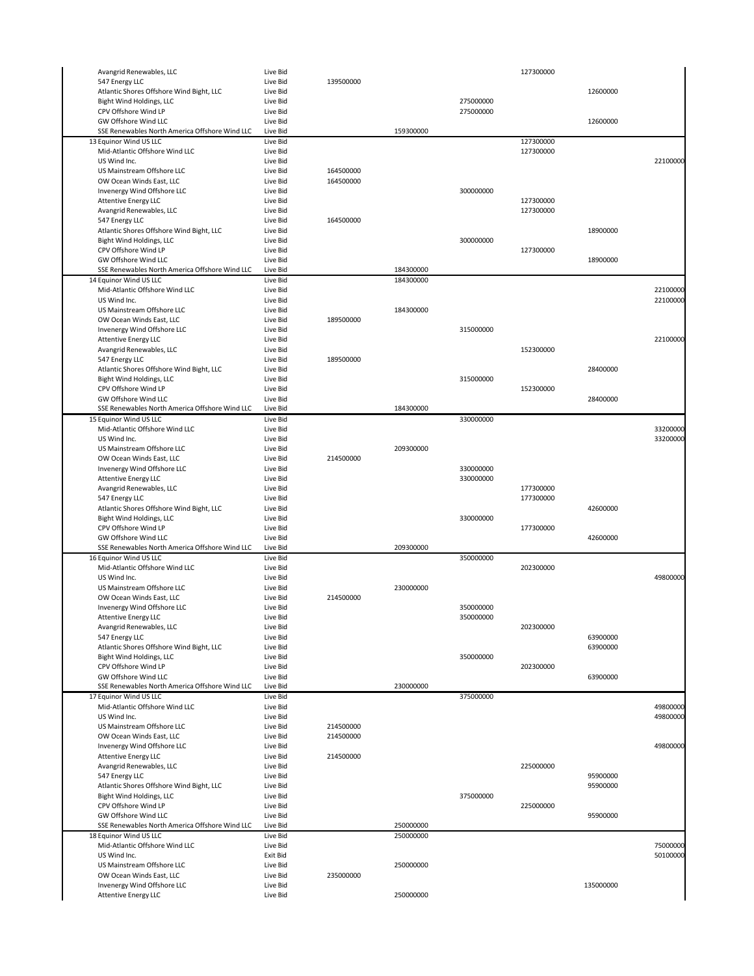| Avangrid Renewables, LLC                                 | Live Bid |           |           |           | 127300000 |           |          |
|----------------------------------------------------------|----------|-----------|-----------|-----------|-----------|-----------|----------|
| 547 Energy LLC                                           | Live Bid | 139500000 |           |           |           |           |          |
| Atlantic Shores Offshore Wind Bight, LLC                 | Live Bid |           |           |           |           | 12600000  |          |
| Bight Wind Holdings, LLC                                 | Live Bid |           |           | 275000000 |           |           |          |
| CPV Offshore Wind LP                                     | Live Bid |           |           | 275000000 |           |           |          |
| GW Offshore Wind LLC                                     | Live Bid |           |           |           |           | 12600000  |          |
| SSE Renewables North America Offshore Wind LLC           | Live Bid |           | 159300000 |           |           |           |          |
| 13 Equinor Wind US LLC                                   | Live Bid |           |           |           | 127300000 |           |          |
| Mid-Atlantic Offshore Wind LLC                           | Live Bid |           |           |           | 127300000 |           |          |
| US Wind Inc.                                             | Live Bid |           |           |           |           |           | 22100000 |
| US Mainstream Offshore LLC                               | Live Bid | 164500000 |           |           |           |           |          |
|                                                          |          |           |           |           |           |           |          |
| OW Ocean Winds East, LLC                                 | Live Bid | 164500000 |           |           |           |           |          |
| Invenergy Wind Offshore LLC                              | Live Bid |           |           | 300000000 |           |           |          |
| <b>Attentive Energy LLC</b>                              | Live Bid |           |           |           | 127300000 |           |          |
| Avangrid Renewables, LLC                                 | Live Bid |           |           |           | 127300000 |           |          |
| 547 Energy LLC                                           | Live Bid | 164500000 |           |           |           |           |          |
| Atlantic Shores Offshore Wind Bight, LLC                 | Live Bid |           |           |           |           | 18900000  |          |
| Bight Wind Holdings, LLC                                 | Live Bid |           |           | 300000000 |           |           |          |
| CPV Offshore Wind LP                                     | Live Bid |           |           |           | 127300000 |           |          |
| <b>GW Offshore Wind LLC</b>                              | Live Bid |           |           |           |           | 18900000  |          |
| SSE Renewables North America Offshore Wind LLC           | Live Bid |           | 184300000 |           |           |           |          |
| 14 Equinor Wind US LLC                                   | Live Bid |           | 184300000 |           |           |           |          |
| Mid-Atlantic Offshore Wind LLC                           | Live Bid |           |           |           |           |           | 22100000 |
| US Wind Inc.                                             | Live Bid |           |           |           |           |           | 22100000 |
| US Mainstream Offshore LLC                               | Live Bid |           | 184300000 |           |           |           |          |
| OW Ocean Winds East, LLC                                 | Live Bid | 189500000 |           |           |           |           |          |
| Invenergy Wind Offshore LLC                              | Live Bid |           |           | 315000000 |           |           |          |
| <b>Attentive Energy LLC</b>                              | Live Bid |           |           |           |           |           | 22100000 |
| Avangrid Renewables, LLC                                 | Live Bid |           |           |           | 152300000 |           |          |
| 547 Energy LLC                                           | Live Bid | 189500000 |           |           |           |           |          |
|                                                          |          |           |           |           |           | 28400000  |          |
| Atlantic Shores Offshore Wind Bight, LLC                 | Live Bid |           |           |           |           |           |          |
| Bight Wind Holdings, LLC                                 | Live Bid |           |           | 315000000 |           |           |          |
| CPV Offshore Wind LP                                     | Live Bid |           |           |           | 152300000 |           |          |
| GW Offshore Wind LLC                                     | Live Bid |           |           |           |           | 28400000  |          |
| SSE Renewables North America Offshore Wind LLC           | Live Bid |           | 184300000 |           |           |           |          |
| 15 Equinor Wind US LLC                                   | Live Bid |           |           | 330000000 |           |           |          |
| Mid-Atlantic Offshore Wind LLC                           | Live Bid |           |           |           |           |           | 33200000 |
| US Wind Inc.                                             | Live Bid |           |           |           |           |           | 33200000 |
| US Mainstream Offshore LLC                               | Live Bid |           | 209300000 |           |           |           |          |
| OW Ocean Winds East, LLC                                 | Live Bid | 214500000 |           |           |           |           |          |
| Invenergy Wind Offshore LLC                              | Live Bid |           |           | 330000000 |           |           |          |
| <b>Attentive Energy LLC</b>                              | Live Bid |           |           | 330000000 |           |           |          |
| Avangrid Renewables, LLC                                 | Live Bid |           |           |           | 177300000 |           |          |
| 547 Energy LLC                                           | Live Bid |           |           |           | 177300000 |           |          |
|                                                          |          |           |           |           |           |           |          |
|                                                          |          |           |           |           |           |           |          |
| Atlantic Shores Offshore Wind Bight, LLC                 | Live Bid |           |           |           |           | 42600000  |          |
| Bight Wind Holdings, LLC                                 | Live Bid |           |           | 330000000 |           |           |          |
| CPV Offshore Wind LP                                     | Live Bid |           |           |           | 177300000 |           |          |
| GW Offshore Wind LLC                                     | Live Bid |           |           |           |           | 42600000  |          |
| SSE Renewables North America Offshore Wind LLC           | Live Bid |           | 209300000 |           |           |           |          |
| 16 Equinor Wind US LLC                                   | Live Bid |           |           | 350000000 |           |           |          |
| Mid-Atlantic Offshore Wind LLC                           | Live Bid |           |           |           | 202300000 |           |          |
| US Wind Inc.                                             | Live Bid |           |           |           |           |           | 49800000 |
| US Mainstream Offshore LLC                               | Live Bid |           | 230000000 |           |           |           |          |
| OW Ocean Winds East, LLC                                 | Live Bid | 214500000 |           |           |           |           |          |
| Invenergy Wind Offshore LLC                              | Live Bid |           |           | 350000000 |           |           |          |
| <b>Attentive Energy LLC</b>                              | Live Bid |           |           | 350000000 |           |           |          |
| Avangrid Renewables, LLC                                 | Live Bid |           |           |           | 202300000 |           |          |
| 547 Energy LLC                                           | Live Bid |           |           |           |           | 63900000  |          |
| Atlantic Shores Offshore Wind Bight, LLC                 | Live Bid |           |           |           |           | 63900000  |          |
| Bight Wind Holdings, LLC                                 | Live Bid |           |           | 350000000 |           |           |          |
| CPV Offshore Wind LP                                     | Live Bid |           |           |           | 202300000 |           |          |
| GW Offshore Wind LLC                                     | Live Bid |           |           |           |           | 63900000  |          |
| SSE Renewables North America Offshore Wind LLC           | Live Bid |           | 230000000 |           |           |           |          |
|                                                          | Live Bid |           |           |           |           |           |          |
| 17 Equinor Wind US LLC<br>Mid-Atlantic Offshore Wind LLC | Live Bid |           |           | 375000000 |           |           | 49800000 |
| US Wind Inc.                                             | Live Bid |           |           |           |           |           | 49800000 |
|                                                          | Live Bid |           |           |           |           |           |          |
| US Mainstream Offshore LLC                               |          | 214500000 |           |           |           |           |          |
| OW Ocean Winds East, LLC                                 | Live Bid | 214500000 |           |           |           |           |          |
| Invenergy Wind Offshore LLC                              | Live Bid |           |           |           |           |           | 49800000 |
| <b>Attentive Energy LLC</b>                              | Live Bid | 214500000 |           |           |           |           |          |
| Avangrid Renewables, LLC                                 | Live Bid |           |           |           | 225000000 |           |          |
| 547 Energy LLC                                           | Live Bid |           |           |           |           | 95900000  |          |
| Atlantic Shores Offshore Wind Bight, LLC                 | Live Bid |           |           |           |           | 95900000  |          |
| Bight Wind Holdings, LLC                                 | Live Bid |           |           | 375000000 |           |           |          |
| CPV Offshore Wind LP                                     | Live Bid |           |           |           | 225000000 |           |          |
| GW Offshore Wind LLC                                     | Live Bid |           |           |           |           | 95900000  |          |
| SSE Renewables North America Offshore Wind LLC           | Live Bid |           | 250000000 |           |           |           |          |
| 18 Equinor Wind US LLC                                   | Live Bid |           | 250000000 |           |           |           |          |
| Mid-Atlantic Offshore Wind LLC                           | Live Bid |           |           |           |           |           | 75000000 |
| US Wind Inc.                                             | Exit Bid |           |           |           |           |           | 50100000 |
| US Mainstream Offshore LLC                               | Live Bid |           | 250000000 |           |           |           |          |
| OW Ocean Winds East, LLC                                 | Live Bid | 235000000 |           |           |           |           |          |
| Invenergy Wind Offshore LLC                              | Live Bid |           |           |           |           | 135000000 |          |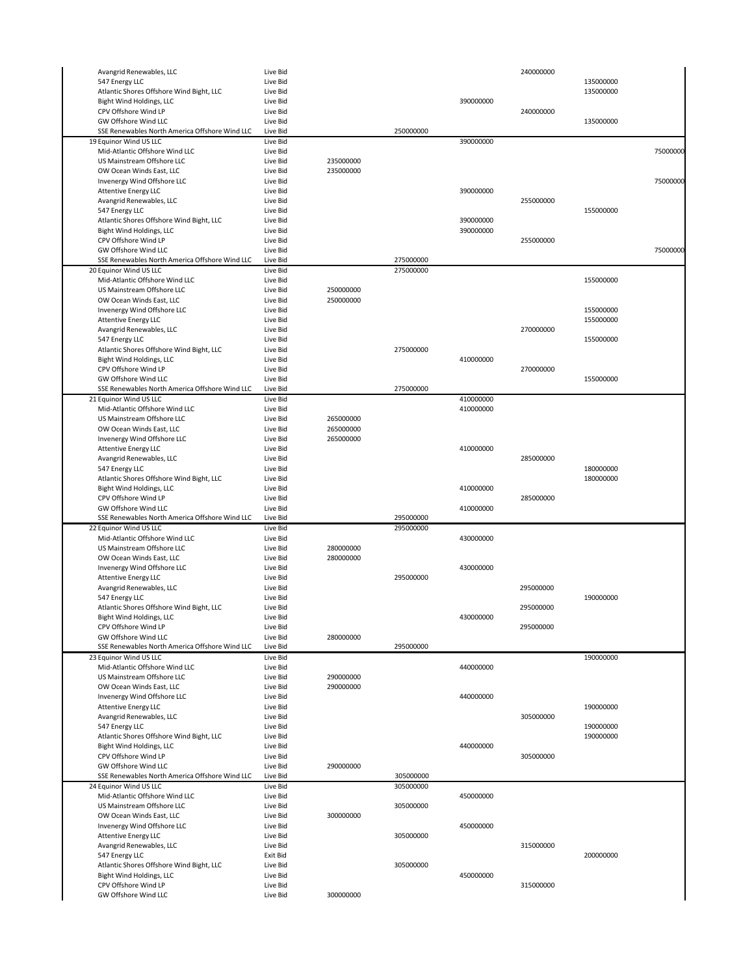| Avangrid Renewables, LLC                       | Live Bid             |           |           |           | 240000000 |           |          |
|------------------------------------------------|----------------------|-----------|-----------|-----------|-----------|-----------|----------|
| 547 Energy LLC                                 | Live Bid             |           |           |           |           | 135000000 |          |
| Atlantic Shores Offshore Wind Bight, LLC       | Live Bid             |           |           |           |           | 135000000 |          |
|                                                |                      |           |           |           |           |           |          |
| Bight Wind Holdings, LLC                       | Live Bid             |           |           | 390000000 |           |           |          |
| CPV Offshore Wind LP                           | Live Bid             |           |           |           | 240000000 |           |          |
| GW Offshore Wind LLC                           | Live Bid             |           |           |           |           | 135000000 |          |
| SSE Renewables North America Offshore Wind LLC | Live Bid             |           | 250000000 |           |           |           |          |
| 19 Equinor Wind US LLC                         | Live Bid             |           |           | 390000000 |           |           |          |
| Mid-Atlantic Offshore Wind LLC                 | Live Bid             |           |           |           |           |           | 75000000 |
| US Mainstream Offshore LLC                     | Live Bid             | 235000000 |           |           |           |           |          |
| OW Ocean Winds East, LLC                       | Live Bid             | 235000000 |           |           |           |           |          |
|                                                |                      |           |           |           |           |           |          |
| Invenergy Wind Offshore LLC                    | Live Bid             |           |           |           |           |           | 75000000 |
| <b>Attentive Energy LLC</b>                    | Live Bid             |           |           | 390000000 |           |           |          |
| Avangrid Renewables, LLC                       | Live Bid             |           |           |           | 255000000 |           |          |
| 547 Energy LLC                                 | Live Bid             |           |           |           |           | 155000000 |          |
| Atlantic Shores Offshore Wind Bight, LLC       | Live Bid             |           |           | 390000000 |           |           |          |
| Bight Wind Holdings, LLC                       | Live Bid             |           |           | 390000000 |           |           |          |
|                                                |                      |           |           |           |           |           |          |
| CPV Offshore Wind LP                           | Live Bid             |           |           |           | 255000000 |           |          |
| GW Offshore Wind LLC                           | Live Bid             |           |           |           |           |           | 75000000 |
| SSE Renewables North America Offshore Wind LLC | Live Bid             |           | 275000000 |           |           |           |          |
| 20 Equinor Wind US LLC                         | Live Bid             |           | 275000000 |           |           |           |          |
| Mid-Atlantic Offshore Wind LLC                 | Live Bid             |           |           |           |           | 155000000 |          |
| US Mainstream Offshore LLC                     | Live Bid             | 250000000 |           |           |           |           |          |
|                                                |                      |           |           |           |           |           |          |
| OW Ocean Winds East, LLC                       | Live Bid             | 250000000 |           |           |           |           |          |
| Invenergy Wind Offshore LLC                    | Live Bid             |           |           |           |           | 155000000 |          |
| <b>Attentive Energy LLC</b>                    | Live Bid             |           |           |           |           | 155000000 |          |
| Avangrid Renewables, LLC                       | Live Bid             |           |           |           | 270000000 |           |          |
| 547 Energy LLC                                 | Live Bid             |           |           |           |           | 155000000 |          |
|                                                | Live Bid             |           |           |           |           |           |          |
| Atlantic Shores Offshore Wind Bight, LLC       |                      |           | 275000000 |           |           |           |          |
| Bight Wind Holdings, LLC                       | Live Bid             |           |           | 410000000 |           |           |          |
| CPV Offshore Wind LP                           | Live Bid             |           |           |           | 270000000 |           |          |
| GW Offshore Wind LLC                           | Live Bid             |           |           |           |           | 155000000 |          |
| SSE Renewables North America Offshore Wind LLC | Live Bid             |           | 275000000 |           |           |           |          |
| 21 Equinor Wind US LLC                         | Live Bid             |           |           | 410000000 |           |           |          |
|                                                |                      |           |           |           |           |           |          |
| Mid-Atlantic Offshore Wind LLC                 | Live Bid             |           |           | 410000000 |           |           |          |
| US Mainstream Offshore LLC                     | Live Bid             | 265000000 |           |           |           |           |          |
| OW Ocean Winds East, LLC                       | Live Bid             | 265000000 |           |           |           |           |          |
| Invenergy Wind Offshore LLC                    | Live Bid             | 265000000 |           |           |           |           |          |
| <b>Attentive Energy LLC</b>                    | Live Bid             |           |           | 410000000 |           |           |          |
| Avangrid Renewables, LLC                       | Live Bid             |           |           |           | 285000000 |           |          |
|                                                |                      |           |           |           |           |           |          |
| 547 Energy LLC                                 | Live Bid             |           |           |           |           | 180000000 |          |
| Atlantic Shores Offshore Wind Bight, LLC       | Live Bid             |           |           |           |           | 180000000 |          |
|                                                |                      |           |           |           |           |           |          |
| Bight Wind Holdings, LLC                       | Live Bid             |           |           | 410000000 |           |           |          |
|                                                |                      |           |           |           |           |           |          |
| CPV Offshore Wind LP                           | Live Bid             |           |           |           | 285000000 |           |          |
| GW Offshore Wind LLC                           | Live Bid             |           |           | 410000000 |           |           |          |
| SSE Renewables North America Offshore Wind LLC | Live Bid             |           | 295000000 |           |           |           |          |
| 22 Equinor Wind US LLC                         | Live Bid             |           | 295000000 |           |           |           |          |
| Mid-Atlantic Offshore Wind LLC                 | Live Bid             |           |           | 430000000 |           |           |          |
| US Mainstream Offshore LLC                     | Live Bid             | 280000000 |           |           |           |           |          |
|                                                |                      |           |           |           |           |           |          |
| OW Ocean Winds East, LLC                       | Live Bid             | 280000000 |           |           |           |           |          |
| Invenergy Wind Offshore LLC                    | Live Bid             |           |           | 430000000 |           |           |          |
| <b>Attentive Energy LLC</b>                    | Live Bid             |           | 295000000 |           |           |           |          |
| Avangrid Renewables, LLC                       | Live Bid             |           |           |           | 295000000 |           |          |
| 547 Energy LLC                                 | Live Bid             |           |           |           |           | 190000000 |          |
|                                                | Live Bid             |           |           |           |           |           |          |
| Atlantic Shores Offshore Wind Bight, LLC       |                      |           |           |           | 295000000 |           |          |
| Bight Wind Holdings, LLC                       | Live Bid             |           |           | 430000000 |           |           |          |
| CPV Offshore Wind LP                           | Live Bid             |           |           |           | 295000000 |           |          |
| GW Offshore Wind LLC                           | Live Bid             | 280000000 |           |           |           |           |          |
| SSE Renewables North America Offshore Wind LLC | Live Bid             |           | 295000000 |           |           |           |          |
| 23 Equinor Wind US LLC                         | Live Bid             |           |           |           |           | 190000000 |          |
| Mid-Atlantic Offshore Wind LLC                 | Live Bid             |           |           | 440000000 |           |           |          |
| US Mainstream Offshore LLC                     | Live Bid             | 290000000 |           |           |           |           |          |
|                                                |                      |           |           |           |           |           |          |
| OW Ocean Winds East, LLC                       | Live Bid             | 290000000 |           |           |           |           |          |
| Invenergy Wind Offshore LLC                    | Live Bid             |           |           | 440000000 |           |           |          |
| <b>Attentive Energy LLC</b>                    | Live Bid             |           |           |           |           | 190000000 |          |
| Avangrid Renewables, LLC                       | Live Bid             |           |           |           | 305000000 |           |          |
| 547 Energy LLC                                 | Live Bid             |           |           |           |           | 190000000 |          |
| Atlantic Shores Offshore Wind Bight, LLC       | Live Bid             |           |           |           |           | 190000000 |          |
|                                                |                      |           |           |           |           |           |          |
| Bight Wind Holdings, LLC                       | Live Bid             |           |           | 440000000 |           |           |          |
| CPV Offshore Wind LP                           | Live Bid             |           |           |           | 305000000 |           |          |
| GW Offshore Wind LLC                           | Live Bid             | 290000000 |           |           |           |           |          |
| SSE Renewables North America Offshore Wind LLC | Live Bid             |           | 305000000 |           |           |           |          |
| 24 Equinor Wind US LLC                         | Live Bid             |           | 305000000 |           |           |           |          |
| Mid-Atlantic Offshore Wind LLC                 | Live Bid             |           |           |           |           |           |          |
|                                                |                      |           |           | 450000000 |           |           |          |
| US Mainstream Offshore LLC                     | Live Bid             |           | 305000000 |           |           |           |          |
| OW Ocean Winds East, LLC                       | Live Bid             | 300000000 |           |           |           |           |          |
| Invenergy Wind Offshore LLC                    | Live Bid             |           |           | 450000000 |           |           |          |
| <b>Attentive Energy LLC</b>                    | Live Bid             |           | 305000000 |           |           |           |          |
| Avangrid Renewables, LLC                       | Live Bid             |           |           |           | 315000000 |           |          |
|                                                |                      |           |           |           |           |           |          |
| 547 Energy LLC                                 | Exit Bid             |           |           |           |           | 200000000 |          |
| Atlantic Shores Offshore Wind Bight, LLC       | Live Bid             |           | 305000000 |           |           |           |          |
| Bight Wind Holdings, LLC                       | Live Bid             |           |           | 450000000 |           |           |          |
| CPV Offshore Wind LP<br>GW Offshore Wind LLC   | Live Bid<br>Live Bid | 300000000 |           |           | 315000000 |           |          |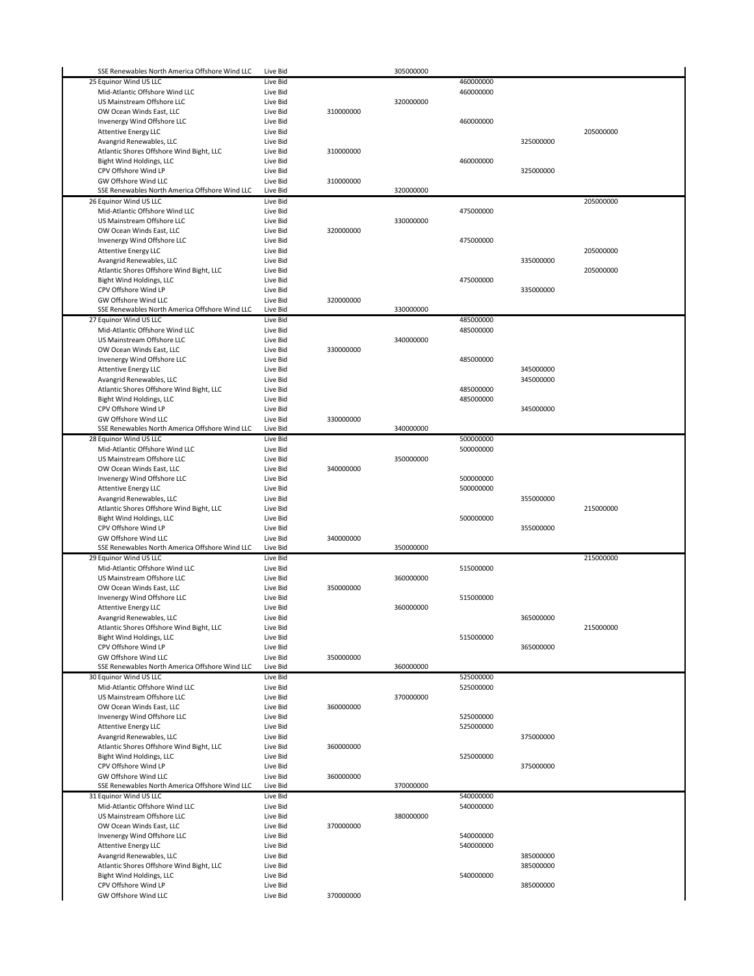| SSE Renewables North America Offshore Wind LLC | Live Bid |           | 305000000 |           |           |           |
|------------------------------------------------|----------|-----------|-----------|-----------|-----------|-----------|
| 25 Equinor Wind US LLC                         | Live Bid |           |           | 460000000 |           |           |
| Mid-Atlantic Offshore Wind LLC                 | Live Bid |           |           | 460000000 |           |           |
| US Mainstream Offshore LLC                     | Live Bid |           | 320000000 |           |           |           |
| OW Ocean Winds East, LLC                       | Live Bid | 310000000 |           |           |           |           |
| Invenergy Wind Offshore LLC                    | Live Bid |           |           | 460000000 |           |           |
| <b>Attentive Energy LLC</b>                    | Live Bid |           |           |           |           | 205000000 |
| Avangrid Renewables, LLC                       | Live Bid |           |           |           | 325000000 |           |
|                                                |          |           |           |           |           |           |
| Atlantic Shores Offshore Wind Bight, LLC       | Live Bid | 310000000 |           |           |           |           |
| Bight Wind Holdings, LLC                       | Live Bid |           |           | 460000000 |           |           |
| CPV Offshore Wind LP                           | Live Bid |           |           |           | 325000000 |           |
| GW Offshore Wind LLC                           | Live Bid | 310000000 |           |           |           |           |
| SSE Renewables North America Offshore Wind LLC | Live Bid |           | 320000000 |           |           |           |
| 26 Equinor Wind US LLC                         | Live Bid |           |           |           |           | 205000000 |
| Mid-Atlantic Offshore Wind LLC                 | Live Bid |           |           | 475000000 |           |           |
| US Mainstream Offshore LLC                     | Live Bid |           | 330000000 |           |           |           |
| OW Ocean Winds East, LLC                       | Live Bid | 320000000 |           |           |           |           |
| Invenergy Wind Offshore LLC                    | Live Bid |           |           | 475000000 |           |           |
| <b>Attentive Energy LLC</b>                    | Live Bid |           |           |           |           | 205000000 |
| Avangrid Renewables, LLC                       | Live Bid |           |           |           | 335000000 |           |
| Atlantic Shores Offshore Wind Bight, LLC       | Live Bid |           |           |           |           | 205000000 |
| Bight Wind Holdings, LLC                       | Live Bid |           |           | 475000000 |           |           |
| CPV Offshore Wind LP                           | Live Bid |           |           |           | 335000000 |           |
| GW Offshore Wind LLC                           | Live Bid | 320000000 |           |           |           |           |
| SSE Renewables North America Offshore Wind LLC | Live Bid |           | 330000000 |           |           |           |
| 27 Equinor Wind US LLC                         | Live Bid |           |           | 485000000 |           |           |
| Mid-Atlantic Offshore Wind LLC                 | Live Bid |           |           | 485000000 |           |           |
| US Mainstream Offshore LLC                     | Live Bid |           | 340000000 |           |           |           |
|                                                |          |           |           |           |           |           |
| OW Ocean Winds East, LLC                       | Live Bid | 330000000 |           |           |           |           |
| Invenergy Wind Offshore LLC                    | Live Bid |           |           | 485000000 |           |           |
| <b>Attentive Energy LLC</b>                    | Live Bid |           |           |           | 345000000 |           |
| Avangrid Renewables, LLC                       | Live Bid |           |           |           | 345000000 |           |
| Atlantic Shores Offshore Wind Bight, LLC       | Live Bid |           |           | 485000000 |           |           |
| Bight Wind Holdings, LLC                       | Live Bid |           |           | 485000000 |           |           |
| CPV Offshore Wind LP                           | Live Bid |           |           |           | 345000000 |           |
| GW Offshore Wind LLC                           | Live Bid | 330000000 |           |           |           |           |
| SSE Renewables North America Offshore Wind LLC | Live Bid |           | 340000000 |           |           |           |
| 28 Equinor Wind US LLC                         | Live Bid |           |           | 500000000 |           |           |
| Mid-Atlantic Offshore Wind LLC                 | Live Bid |           |           | 500000000 |           |           |
| US Mainstream Offshore LLC                     | Live Bid |           | 350000000 |           |           |           |
| OW Ocean Winds East, LLC                       | Live Bid | 340000000 |           |           |           |           |
| Invenergy Wind Offshore LLC                    | Live Bid |           |           | 500000000 |           |           |
| <b>Attentive Energy LLC</b>                    | Live Bid |           |           | 500000000 |           |           |
| Avangrid Renewables, LLC                       | Live Bid |           |           |           | 355000000 |           |
| Atlantic Shores Offshore Wind Bight, LLC       | Live Bid |           |           |           |           | 215000000 |
| Bight Wind Holdings, LLC                       | Live Bid |           |           | 500000000 |           |           |
|                                                |          |           |           |           | 355000000 |           |
|                                                |          |           |           |           |           |           |
| CPV Offshore Wind LP                           | Live Bid |           |           |           |           |           |
| GW Offshore Wind LLC                           | Live Bid | 340000000 |           |           |           |           |
| SSE Renewables North America Offshore Wind LLC | Live Bid |           | 350000000 |           |           |           |
| 29 Equinor Wind US LLC                         | Live Bid |           |           |           |           | 215000000 |
| Mid-Atlantic Offshore Wind LLC                 | Live Bid |           |           | 515000000 |           |           |
| US Mainstream Offshore LLC                     | Live Bid |           | 360000000 |           |           |           |
| OW Ocean Winds East, LLC                       | Live Bid | 350000000 |           |           |           |           |
| Invenergy Wind Offshore LLC                    | Live Bid |           |           | 515000000 |           |           |
| <b>Attentive Energy LLC</b>                    | Live Bid |           | 360000000 |           |           |           |
| Avangrid Renewables, LLC                       | Live Bid |           |           |           | 365000000 |           |
| Atlantic Shores Offshore Wind Bight, LLC       | Live Bid |           |           |           |           | 215000000 |
| Bight Wind Holdings, LLC                       | Live Bid |           |           | 515000000 |           |           |
| CPV Offshore Wind LP                           | Live Bid |           |           |           | 365000000 |           |
| GW Offshore Wind LLC                           | Live Bid | 350000000 |           |           |           |           |
| SSE Renewables North America Offshore Wind LLC | Live Bid |           | 360000000 |           |           |           |
| 30 Equinor Wind US LLC                         | Live Bid |           |           | 525000000 |           |           |
| Mid-Atlantic Offshore Wind LLC                 | Live Bid |           |           | 525000000 |           |           |
| US Mainstream Offshore LLC                     |          |           |           |           |           |           |
|                                                | Live Bid |           | 370000000 |           |           |           |
| OW Ocean Winds East, LLC                       | Live Bid | 360000000 |           |           |           |           |
| Invenergy Wind Offshore LLC                    | Live Bid |           |           | 525000000 |           |           |
| <b>Attentive Energy LLC</b>                    | Live Bid |           |           | 525000000 |           |           |
| Avangrid Renewables, LLC                       | Live Bid |           |           |           | 375000000 |           |
| Atlantic Shores Offshore Wind Bight, LLC       | Live Bid | 360000000 |           |           |           |           |
| Bight Wind Holdings, LLC                       | Live Bid |           |           | 525000000 |           |           |
| CPV Offshore Wind LP                           | Live Bid |           |           |           | 375000000 |           |
| GW Offshore Wind LLC                           | Live Bid | 360000000 |           |           |           |           |
| SSE Renewables North America Offshore Wind LLC | Live Bid |           | 370000000 |           |           |           |
| 31 Equinor Wind US LLC                         | Live Bid |           |           | 540000000 |           |           |
| Mid-Atlantic Offshore Wind LLC                 | Live Bid |           |           | 540000000 |           |           |
| US Mainstream Offshore LLC                     | Live Bid |           | 380000000 |           |           |           |
| OW Ocean Winds East, LLC                       | Live Bid | 370000000 |           |           |           |           |
| Invenergy Wind Offshore LLC                    | Live Bid |           |           | 540000000 |           |           |
| <b>Attentive Energy LLC</b>                    | Live Bid |           |           | 540000000 |           |           |
| Avangrid Renewables, LLC                       | Live Bid |           |           |           | 385000000 |           |
| Atlantic Shores Offshore Wind Bight, LLC       | Live Bid |           |           |           | 385000000 |           |
| Bight Wind Holdings, LLC                       | Live Bid |           |           | 540000000 |           |           |
| CPV Offshore Wind LP                           | Live Bid |           |           |           | 385000000 |           |
| GW Offshore Wind LLC                           | Live Bid | 370000000 |           |           |           |           |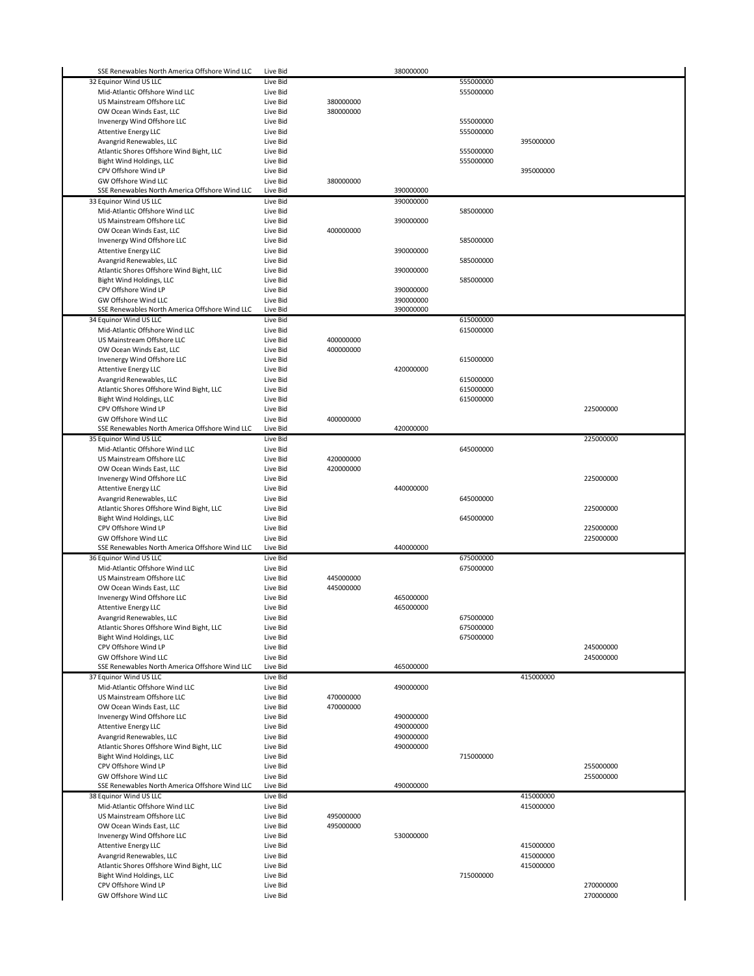| SSE Renewables North America Offshore Wind LLC | Live Bid             |           | 380000000 |           |           |                        |
|------------------------------------------------|----------------------|-----------|-----------|-----------|-----------|------------------------|
| 32 Equinor Wind US LLC                         | Live Bid             |           |           | 555000000 |           |                        |
| Mid-Atlantic Offshore Wind LLC                 | Live Bid             |           |           | 555000000 |           |                        |
| US Mainstream Offshore LLC                     | Live Bid             | 380000000 |           |           |           |                        |
| OW Ocean Winds East, LLC                       | Live Bid             | 380000000 |           |           |           |                        |
| Invenergy Wind Offshore LLC                    | Live Bid             |           |           | 555000000 |           |                        |
| <b>Attentive Energy LLC</b>                    | Live Bid             |           |           | 555000000 |           |                        |
|                                                |                      |           |           |           |           |                        |
| Avangrid Renewables, LLC                       | Live Bid             |           |           |           | 395000000 |                        |
| Atlantic Shores Offshore Wind Bight, LLC       | Live Bid             |           |           | 555000000 |           |                        |
| Bight Wind Holdings, LLC                       | Live Bid             |           |           | 555000000 |           |                        |
| CPV Offshore Wind LP                           | Live Bid             |           |           |           | 395000000 |                        |
| GW Offshore Wind LLC                           | Live Bid             | 380000000 |           |           |           |                        |
| SSE Renewables North America Offshore Wind LLC | Live Bid             |           | 390000000 |           |           |                        |
| 33 Equinor Wind US LLC                         | Live Bid             |           | 390000000 |           |           |                        |
| Mid-Atlantic Offshore Wind LLC                 | Live Bid             |           |           | 585000000 |           |                        |
| US Mainstream Offshore LLC                     | Live Bid             |           | 390000000 |           |           |                        |
| OW Ocean Winds East, LLC                       | Live Bid             | 400000000 |           |           |           |                        |
|                                                | Live Bid             |           |           | 585000000 |           |                        |
| Invenergy Wind Offshore LLC                    |                      |           |           |           |           |                        |
| <b>Attentive Energy LLC</b>                    | Live Bid             |           | 390000000 |           |           |                        |
| Avangrid Renewables, LLC                       | Live Bid             |           |           | 585000000 |           |                        |
| Atlantic Shores Offshore Wind Bight, LLC       | Live Bid             |           | 390000000 |           |           |                        |
| Bight Wind Holdings, LLC                       | Live Bid             |           |           | 585000000 |           |                        |
| CPV Offshore Wind LP                           | Live Bid             |           | 390000000 |           |           |                        |
| GW Offshore Wind LLC                           | Live Bid             |           | 390000000 |           |           |                        |
| SSE Renewables North America Offshore Wind LLC | Live Bid             |           | 390000000 |           |           |                        |
| 34 Equinor Wind US LLC                         | Live Bid             |           |           | 615000000 |           |                        |
| Mid-Atlantic Offshore Wind LLC                 | Live Bid             |           |           | 615000000 |           |                        |
| US Mainstream Offshore LLC                     | Live Bid             | 400000000 |           |           |           |                        |
|                                                |                      |           |           |           |           |                        |
| OW Ocean Winds East, LLC                       | Live Bid             | 400000000 |           |           |           |                        |
| Invenergy Wind Offshore LLC                    | Live Bid             |           |           | 615000000 |           |                        |
| <b>Attentive Energy LLC</b>                    | Live Bid             |           | 420000000 |           |           |                        |
| Avangrid Renewables, LLC                       | Live Bid             |           |           | 615000000 |           |                        |
| Atlantic Shores Offshore Wind Bight, LLC       | Live Bid             |           |           | 615000000 |           |                        |
| Bight Wind Holdings, LLC                       | Live Bid             |           |           | 615000000 |           |                        |
| CPV Offshore Wind LP                           | Live Bid             |           |           |           |           | 225000000              |
| GW Offshore Wind LLC                           | Live Bid             | 400000000 |           |           |           |                        |
| SSE Renewables North America Offshore Wind LLC | Live Bid             |           | 420000000 |           |           |                        |
|                                                | Live Bid             |           |           |           |           | 225000000              |
| 35 Equinor Wind US LLC                         |                      |           |           |           |           |                        |
| Mid-Atlantic Offshore Wind LLC                 | Live Bid             |           |           | 645000000 |           |                        |
| US Mainstream Offshore LLC                     | Live Bid             | 420000000 |           |           |           |                        |
| OW Ocean Winds East, LLC                       | Live Bid             | 420000000 |           |           |           |                        |
| Invenergy Wind Offshore LLC                    | Live Bid             |           |           |           |           | 225000000              |
| <b>Attentive Energy LLC</b>                    | Live Bid             |           | 440000000 |           |           |                        |
| Avangrid Renewables, LLC                       | Live Bid             |           |           | 645000000 |           |                        |
| Atlantic Shores Offshore Wind Bight, LLC       | Live Bid             |           |           |           |           | 225000000              |
|                                                | Live Bid             |           |           | 645000000 |           |                        |
| Bight Wind Holdings, LLC                       |                      |           |           |           |           |                        |
| CPV Offshore Wind LP                           | Live Bid             |           |           |           |           | 225000000              |
| GW Offshore Wind LLC                           | Live Bid             |           |           |           |           | 225000000              |
| SSE Renewables North America Offshore Wind LLC | Live Bid             |           | 440000000 |           |           |                        |
| 36 Equinor Wind US LLC                         | Live Bid             |           |           | 675000000 |           |                        |
| Mid-Atlantic Offshore Wind LLC                 | Live Bid             |           |           | 675000000 |           |                        |
|                                                |                      | 445000000 |           |           |           |                        |
| US Mainstream Offshore LLC                     | Live Bid             |           |           |           |           |                        |
|                                                |                      |           |           |           |           |                        |
| OW Ocean Winds East, LLC                       | Live Bid             | 445000000 |           |           |           |                        |
| Invenergy Wind Offshore LLC                    | Live Bid             |           | 465000000 |           |           |                        |
| <b>Attentive Energy LLC</b>                    | Live Bid             |           | 465000000 |           |           |                        |
| Avangrid Renewables, LLC                       | Live Bid             |           |           | 675000000 |           |                        |
| Atlantic Shores Offshore Wind Bight, LLC       | Live Bid             |           |           | 675000000 |           |                        |
| Bight Wind Holdings, LLC                       | Live Bid             |           |           | 675000000 |           |                        |
| CPV Offshore Wind LP                           | Live Bid             |           |           |           |           | 245000000              |
| GW Offshore Wind LLC                           | Live Bid             |           |           |           |           | 245000000              |
| SSE Renewables North America Offshore Wind LLC | Live Bid             |           | 465000000 |           |           |                        |
| 37 Equinor Wind US LLC                         | Live Bid             |           |           |           | 415000000 |                        |
| Mid-Atlantic Offshore Wind LLC                 | Live Bid             |           | 490000000 |           |           |                        |
| US Mainstream Offshore LLC                     | Live Bid             | 470000000 |           |           |           |                        |
|                                                |                      |           |           |           |           |                        |
| OW Ocean Winds East, LLC                       | Live Bid             | 470000000 |           |           |           |                        |
| Invenergy Wind Offshore LLC                    | Live Bid             |           | 490000000 |           |           |                        |
| <b>Attentive Energy LLC</b>                    | Live Bid             |           | 490000000 |           |           |                        |
| Avangrid Renewables, LLC                       | Live Bid             |           | 490000000 |           |           |                        |
| Atlantic Shores Offshore Wind Bight, LLC       | Live Bid             |           | 490000000 |           |           |                        |
| Bight Wind Holdings, LLC                       | Live Bid             |           |           | 715000000 |           |                        |
| CPV Offshore Wind LP                           | Live Bid             |           |           |           |           | 255000000              |
| GW Offshore Wind LLC                           | Live Bid             |           |           |           |           | 255000000              |
| SSE Renewables North America Offshore Wind LLC | Live Bid             |           | 490000000 |           |           |                        |
|                                                |                      |           |           |           |           |                        |
| 38 Equinor Wind US LLC                         | Live Bid             |           |           |           | 415000000 |                        |
| Mid-Atlantic Offshore Wind LLC                 | Live Bid             |           |           |           | 415000000 |                        |
| US Mainstream Offshore LLC                     | Live Bid             | 495000000 |           |           |           |                        |
| OW Ocean Winds East, LLC                       | Live Bid             | 495000000 |           |           |           |                        |
| Invenergy Wind Offshore LLC                    | Live Bid             |           | 530000000 |           |           |                        |
| <b>Attentive Energy LLC</b>                    | Live Bid             |           |           |           | 415000000 |                        |
| Avangrid Renewables, LLC                       | Live Bid             |           |           |           | 415000000 |                        |
|                                                |                      |           |           |           |           |                        |
| Atlantic Shores Offshore Wind Bight, LLC       | Live Bid             |           |           |           | 415000000 |                        |
| Bight Wind Holdings, LLC                       | Live Bid             |           |           | 715000000 |           |                        |
| CPV Offshore Wind LP<br>GW Offshore Wind LLC   | Live Bid<br>Live Bid |           |           |           |           | 270000000<br>270000000 |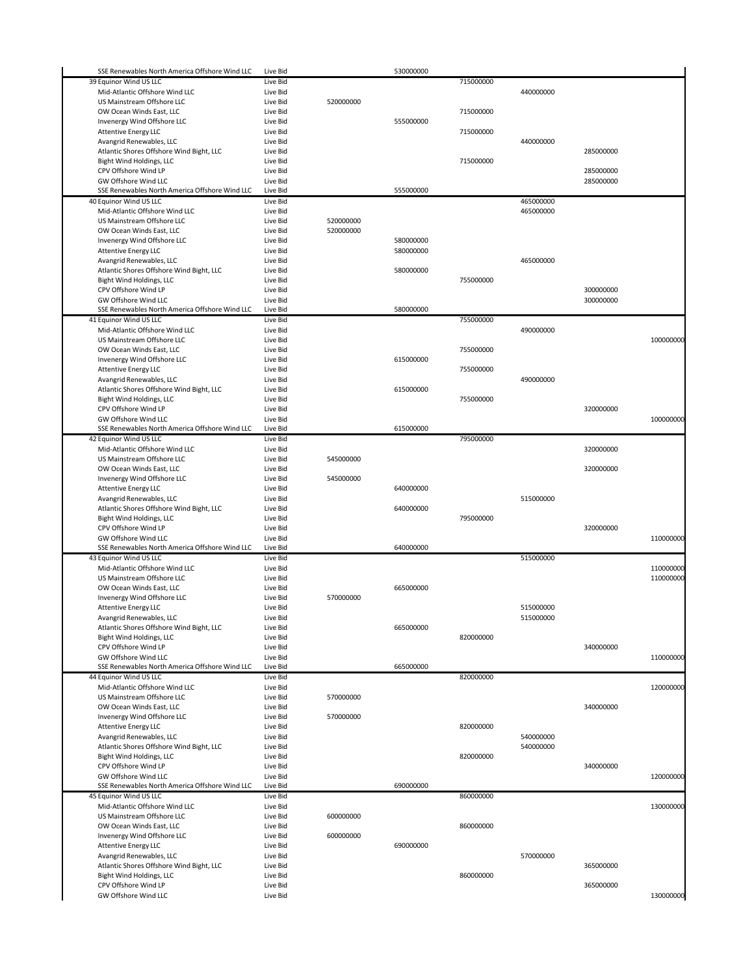| SSE Renewables North America Offshore Wind LLC               | Live Bid             |           | 530000000 |           |                        |           |           |
|--------------------------------------------------------------|----------------------|-----------|-----------|-----------|------------------------|-----------|-----------|
| 39 Equinor Wind US LLC                                       | Live Bid             |           |           | 715000000 |                        |           |           |
| Mid-Atlantic Offshore Wind LLC                               | Live Bid             |           |           |           | 440000000              |           |           |
| US Mainstream Offshore LLC                                   | Live Bid             | 520000000 |           |           |                        |           |           |
| OW Ocean Winds East, LLC                                     | Live Bid             |           |           | 715000000 |                        |           |           |
| Invenergy Wind Offshore LLC                                  | Live Bid             |           | 555000000 |           |                        |           |           |
| <b>Attentive Energy LLC</b>                                  | Live Bid             |           |           | 715000000 |                        |           |           |
| Avangrid Renewables, LLC                                     | Live Bid             |           |           |           | 440000000              |           |           |
| Atlantic Shores Offshore Wind Bight, LLC                     | Live Bid             |           |           |           |                        | 285000000 |           |
| Bight Wind Holdings, LLC                                     | Live Bid             |           |           | 715000000 |                        |           |           |
| CPV Offshore Wind LP                                         | Live Bid             |           |           |           |                        | 285000000 |           |
| GW Offshore Wind LLC                                         | Live Bid             |           |           |           |                        | 285000000 |           |
| SSE Renewables North America Offshore Wind LLC               | Live Bid             |           | 555000000 |           |                        |           |           |
| 40 Equinor Wind US LLC                                       | Live Bid             |           |           |           | 465000000<br>465000000 |           |           |
| Mid-Atlantic Offshore Wind LLC<br>US Mainstream Offshore LLC | Live Bid<br>Live Bid | 520000000 |           |           |                        |           |           |
| OW Ocean Winds East, LLC                                     | Live Bid             | 520000000 |           |           |                        |           |           |
| Invenergy Wind Offshore LLC                                  | Live Bid             |           | 580000000 |           |                        |           |           |
| <b>Attentive Energy LLC</b>                                  | Live Bid             |           | 580000000 |           |                        |           |           |
| Avangrid Renewables, LLC                                     | Live Bid             |           |           |           | 465000000              |           |           |
| Atlantic Shores Offshore Wind Bight, LLC                     | Live Bid             |           | 580000000 |           |                        |           |           |
| Bight Wind Holdings, LLC                                     | Live Bid             |           |           | 755000000 |                        |           |           |
| CPV Offshore Wind LP                                         | Live Bid             |           |           |           |                        | 300000000 |           |
| GW Offshore Wind LLC                                         | Live Bid             |           |           |           |                        | 300000000 |           |
| SSE Renewables North America Offshore Wind LLC               | Live Bid             |           | 580000000 |           |                        |           |           |
| 41 Equinor Wind US LLC                                       | Live Bid             |           |           | 755000000 |                        |           |           |
| Mid-Atlantic Offshore Wind LLC                               | Live Bid             |           |           |           | 490000000              |           |           |
| US Mainstream Offshore LLC                                   | Live Bid             |           |           |           |                        |           | 100000000 |
| OW Ocean Winds East, LLC                                     | Live Bid             |           |           | 755000000 |                        |           |           |
| Invenergy Wind Offshore LLC                                  | Live Bid             |           | 615000000 |           |                        |           |           |
| <b>Attentive Energy LLC</b>                                  | Live Bid             |           |           | 755000000 |                        |           |           |
| Avangrid Renewables, LLC                                     | Live Bid             |           |           |           | 490000000              |           |           |
| Atlantic Shores Offshore Wind Bight, LLC                     | Live Bid             |           | 615000000 |           |                        |           |           |
| Bight Wind Holdings, LLC                                     | Live Bid             |           |           | 755000000 |                        |           |           |
| CPV Offshore Wind LP                                         | Live Bid             |           |           |           |                        | 320000000 |           |
| GW Offshore Wind LLC                                         | Live Bid             |           |           |           |                        |           | 100000000 |
| SSE Renewables North America Offshore Wind LLC               | Live Bid             |           | 615000000 |           |                        |           |           |
| 42 Equinor Wind US LLC                                       | Live Bid             |           |           | 795000000 |                        |           |           |
| Mid-Atlantic Offshore Wind LLC                               | Live Bid             |           |           |           |                        | 320000000 |           |
| US Mainstream Offshore LLC                                   | Live Bid<br>Live Bid | 545000000 |           |           |                        | 320000000 |           |
| OW Ocean Winds East, LLC<br>Invenergy Wind Offshore LLC      | Live Bid             | 545000000 |           |           |                        |           |           |
| <b>Attentive Energy LLC</b>                                  | Live Bid             |           | 640000000 |           |                        |           |           |
| Avangrid Renewables, LLC                                     | Live Bid             |           |           |           | 515000000              |           |           |
| Atlantic Shores Offshore Wind Bight, LLC                     | Live Bid             |           | 640000000 |           |                        |           |           |
| Bight Wind Holdings, LLC                                     | Live Bid             |           |           | 795000000 |                        |           |           |
| CPV Offshore Wind LP                                         | Live Bid             |           |           |           |                        | 320000000 |           |
| GW Offshore Wind LLC                                         | Live Bid             |           |           |           |                        |           | 110000000 |
| SSE Renewables North America Offshore Wind LLC               | Live Bid             |           | 640000000 |           |                        |           |           |
| 43 Equinor Wind US LLC                                       | Live Bid             |           |           |           | 515000000              |           |           |
| Mid-Atlantic Offshore Wind LLC                               | Live Bid             |           |           |           |                        |           | 110000000 |
| US Mainstream Offshore LLC                                   | Live Bid             |           |           |           |                        |           | 110000000 |
| OW Ocean Winds East, LLC                                     | Live Bid             |           | 665000000 |           |                        |           |           |
| Invenergy Wind Offshore LLC                                  | Live Bid             | 570000000 |           |           |                        |           |           |
| <b>Attentive Energy LLC</b>                                  | Live Bid             |           |           |           | 515000000              |           |           |
| Avangrid Renewables, LLC                                     | Live Bid             |           |           |           | 515000000              |           |           |
| Atlantic Shores Offshore Wind Bight, LLC                     | Live Bid             |           | 665000000 |           |                        |           |           |
| Bight Wind Holdings, LLC                                     | Live Bid             |           |           | 820000000 |                        |           |           |
| CPV Offshore Wind LP<br><b>GW Offshore Wind LLC</b>          | Live Bid             |           |           |           |                        | 340000000 |           |
| SSE Renewables North America Offshore Wind LLC               | Live Bid<br>Live Bid |           | 665000000 |           |                        |           | 110000000 |
|                                                              | Live Bid             |           |           | 820000000 |                        |           |           |
| 44 Equinor Wind US LLC<br>Mid-Atlantic Offshore Wind LLC     | Live Bid             |           |           |           |                        |           | 120000000 |
| US Mainstream Offshore LLC                                   | Live Bid             | 570000000 |           |           |                        |           |           |
| OW Ocean Winds East, LLC                                     | Live Bid             |           |           |           |                        | 340000000 |           |
| Invenergy Wind Offshore LLC                                  | Live Bid             | 570000000 |           |           |                        |           |           |
| <b>Attentive Energy LLC</b>                                  | Live Bid             |           |           | 820000000 |                        |           |           |
| Avangrid Renewables, LLC                                     | Live Bid             |           |           |           | 540000000              |           |           |
| Atlantic Shores Offshore Wind Bight, LLC                     | Live Bid             |           |           |           | 540000000              |           |           |
| Bight Wind Holdings, LLC                                     | Live Bid             |           |           | 820000000 |                        |           |           |
| CPV Offshore Wind LP                                         | Live Bid             |           |           |           |                        | 340000000 |           |
| GW Offshore Wind LLC                                         | Live Bid             |           |           |           |                        |           | 120000000 |
| SSE Renewables North America Offshore Wind LLC               | Live Bid             |           | 690000000 |           |                        |           |           |
| 45 Equinor Wind US LLC                                       | Live Bid             |           |           | 860000000 |                        |           |           |
| Mid-Atlantic Offshore Wind LLC                               | Live Bid             |           |           |           |                        |           | 130000000 |
|                                                              |                      |           |           |           |                        |           |           |
|                                                              |                      |           |           |           |                        |           |           |
| Invenergy Wind Offshore LLC<br><b>Attentive Energy LLC</b>   | Live Bid             | 600000000 |           |           |                        |           |           |
|                                                              | Live Bid             |           | 690000000 |           | 570000000              |           |           |
|                                                              |                      |           |           |           |                        |           |           |
| Avangrid Renewables, LLC                                     | Live Bid             |           |           |           |                        |           |           |
| Atlantic Shores Offshore Wind Bight, LLC                     | Live Bid             |           |           |           |                        | 365000000 |           |
| Bight Wind Holdings, LLC<br>CPV Offshore Wind LP             | Live Bid<br>Live Bid |           |           | 860000000 |                        | 365000000 |           |
| US Mainstream Offshore LLC<br>OW Ocean Winds East, LLC       | Live Bid<br>Live Bid | 600000000 |           | 860000000 |                        |           |           |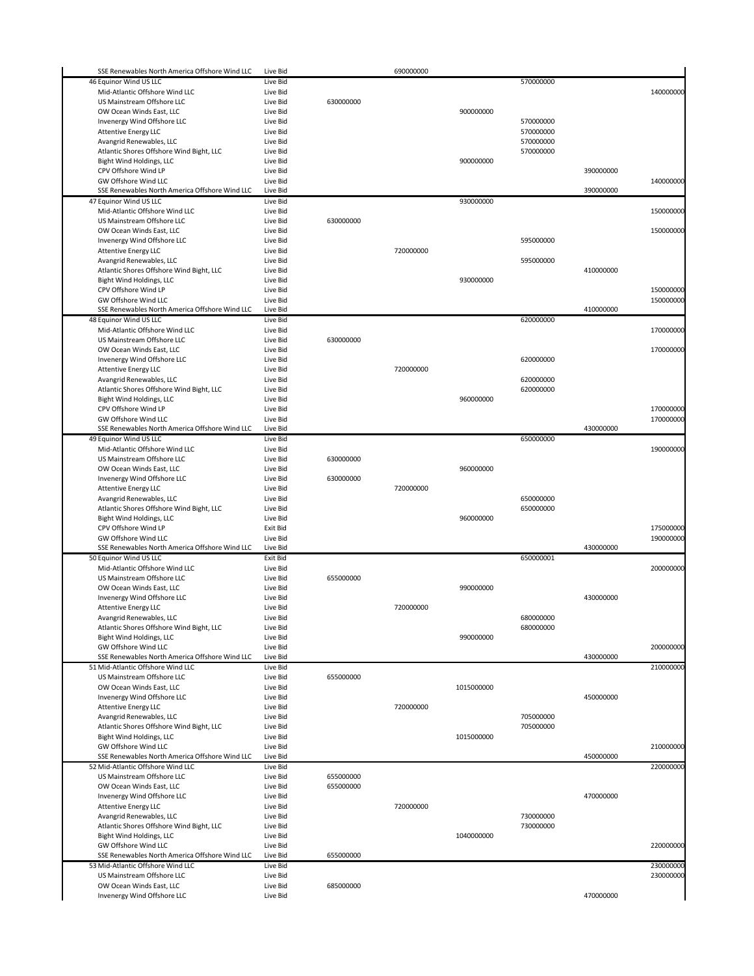| SSE Renewables North America Offshore Wind LLC                         | Live Bid             |           | 690000000 |            |           |           |           |
|------------------------------------------------------------------------|----------------------|-----------|-----------|------------|-----------|-----------|-----------|
| 46 Equinor Wind US LLC                                                 | Live Bid             |           |           |            | 570000000 |           |           |
| Mid-Atlantic Offshore Wind LLC                                         | Live Bid             |           |           |            |           |           | 140000000 |
| US Mainstream Offshore LLC                                             | Live Bid             | 630000000 |           |            |           |           |           |
|                                                                        |                      |           |           |            |           |           |           |
| OW Ocean Winds East, LLC                                               | Live Bid             |           |           | 900000000  |           |           |           |
| Invenergy Wind Offshore LLC                                            | Live Bid             |           |           |            | 570000000 |           |           |
| <b>Attentive Energy LLC</b>                                            | Live Bid             |           |           |            | 570000000 |           |           |
| Avangrid Renewables, LLC                                               | Live Bid             |           |           |            | 570000000 |           |           |
| Atlantic Shores Offshore Wind Bight, LLC                               | Live Bid             |           |           |            | 570000000 |           |           |
| Bight Wind Holdings, LLC                                               | Live Bid             |           |           | 900000000  |           |           |           |
| CPV Offshore Wind LP                                                   | Live Bid             |           |           |            |           | 390000000 |           |
| GW Offshore Wind LLC                                                   | Live Bid             |           |           |            |           |           | 140000000 |
| SSE Renewables North America Offshore Wind LLC                         | Live Bid             |           |           |            |           | 390000000 |           |
| 47 Equinor Wind US LLC                                                 | Live Bid             |           |           | 930000000  |           |           |           |
| Mid-Atlantic Offshore Wind LLC                                         | Live Bid             |           |           |            |           |           | 150000000 |
| US Mainstream Offshore LLC                                             | Live Bid             | 630000000 |           |            |           |           |           |
| OW Ocean Winds East, LLC                                               | Live Bid             |           |           |            |           |           | 150000000 |
| Invenergy Wind Offshore LLC                                            | Live Bid             |           |           |            | 595000000 |           |           |
| <b>Attentive Energy LLC</b>                                            | Live Bid             |           | 720000000 |            |           |           |           |
| Avangrid Renewables, LLC                                               | Live Bid             |           |           |            | 595000000 |           |           |
| Atlantic Shores Offshore Wind Bight, LLC                               | Live Bid             |           |           |            |           | 410000000 |           |
|                                                                        |                      |           |           |            |           |           |           |
| Bight Wind Holdings, LLC                                               | Live Bid             |           |           | 930000000  |           |           |           |
| CPV Offshore Wind LP                                                   | Live Bid             |           |           |            |           |           | 150000000 |
| GW Offshore Wind LLC                                                   | Live Bid             |           |           |            |           |           | 150000000 |
| SSE Renewables North America Offshore Wind LLC                         | Live Bid             |           |           |            |           | 410000000 |           |
| 48 Equinor Wind US LLC                                                 | Live Bid             |           |           |            | 620000000 |           |           |
| Mid-Atlantic Offshore Wind LLC                                         | Live Bid             |           |           |            |           |           | 170000000 |
| US Mainstream Offshore LLC                                             | Live Bid             | 630000000 |           |            |           |           |           |
| OW Ocean Winds East, LLC                                               | Live Bid             |           |           |            |           |           | 170000000 |
| Invenergy Wind Offshore LLC                                            | Live Bid             |           |           |            | 620000000 |           |           |
| <b>Attentive Energy LLC</b>                                            | Live Bid             |           | 720000000 |            |           |           |           |
| Avangrid Renewables, LLC                                               | Live Bid             |           |           |            | 620000000 |           |           |
| Atlantic Shores Offshore Wind Bight, LLC                               | Live Bid             |           |           |            | 620000000 |           |           |
| Bight Wind Holdings, LLC                                               | Live Bid             |           |           | 960000000  |           |           |           |
| CPV Offshore Wind LP                                                   | Live Bid             |           |           |            |           |           | 170000000 |
| GW Offshore Wind LLC                                                   | Live Bid             |           |           |            |           |           | 170000000 |
| SSE Renewables North America Offshore Wind LLC                         | Live Bid             |           |           |            |           | 430000000 |           |
|                                                                        |                      |           |           |            |           |           |           |
| 49 Equinor Wind US LLC                                                 | Live Bid             |           |           |            | 650000000 |           |           |
| Mid-Atlantic Offshore Wind LLC                                         | Live Bid             |           |           |            |           |           | 190000000 |
| US Mainstream Offshore LLC                                             | Live Bid             | 630000000 |           |            |           |           |           |
| OW Ocean Winds East, LLC                                               | Live Bid             |           |           | 960000000  |           |           |           |
| Invenergy Wind Offshore LLC                                            | Live Bid             | 630000000 |           |            |           |           |           |
| <b>Attentive Energy LLC</b>                                            | Live Bid             |           | 720000000 |            |           |           |           |
| Avangrid Renewables, LLC                                               | Live Bid             |           |           |            | 650000000 |           |           |
| Atlantic Shores Offshore Wind Bight, LLC                               | Live Bid             |           |           |            | 650000000 |           |           |
| Bight Wind Holdings, LLC                                               | Live Bid             |           |           | 960000000  |           |           |           |
| CPV Offshore Wind LP                                                   | Exit Bid             |           |           |            |           |           | 175000000 |
| GW Offshore Wind LLC                                                   | Live Bid             |           |           |            |           |           | 190000000 |
| SSE Renewables North America Offshore Wind LLC                         | Live Bid             |           |           |            |           | 430000000 |           |
| 50 Equinor Wind US LLC                                                 | Exit Bid             |           |           |            | 650000001 |           |           |
|                                                                        |                      |           |           |            |           |           |           |
| Mid-Atlantic Offshore Wind LLC                                         | Live Bid             |           |           |            |           |           | 200000000 |
| US Mainstream Offshore LLC                                             | Live Bid             | 655000000 |           |            |           |           |           |
| OW Ocean Winds East, LLC                                               | Live Bid             |           |           | 990000000  |           |           |           |
| Invenergy Wind Offshore LLC                                            | Live Bid             |           |           |            |           | 430000000 |           |
| <b>Attentive Energy LLC</b>                                            | Live Bid             |           | 720000000 |            |           |           |           |
| Avangrid Renewables, LLC                                               | Live Bid             |           |           |            | 680000000 |           |           |
| Atlantic Shores Offshore Wind Bight, LLC                               | Live Bid             |           |           |            | 680000000 |           |           |
| Bight Wind Holdings, LLC                                               | Live Bid             |           |           | 990000000  |           |           |           |
| GW Offshore Wind LLC                                                   | Live Bid             |           |           |            |           |           | 200000000 |
| SSE Renewables North America Offshore Wind LLC                         | Live Bid             |           |           |            |           | 430000000 |           |
| 51 Mid-Atlantic Offshore Wind LLC                                      | Live Bid             |           |           |            |           |           | 210000000 |
| US Mainstream Offshore LLC                                             | Live Bid             | 655000000 |           |            |           |           |           |
| OW Ocean Winds East, LLC                                               | Live Bid             |           |           | 1015000000 |           |           |           |
| Invenergy Wind Offshore LLC                                            | Live Bid             |           |           |            |           | 450000000 |           |
| <b>Attentive Energy LLC</b>                                            | Live Bid             |           | 720000000 |            |           |           |           |
| Avangrid Renewables, LLC                                               | Live Bid             |           |           |            | 705000000 |           |           |
| Atlantic Shores Offshore Wind Bight, LLC                               | Live Bid             |           |           |            | 705000000 |           |           |
| Bight Wind Holdings, LLC                                               | Live Bid             |           |           | 1015000000 |           |           |           |
|                                                                        |                      |           |           |            |           |           |           |
| GW Offshore Wind LLC<br>SSE Renewables North America Offshore Wind LLC | Live Bid<br>Live Bid |           |           |            |           | 450000000 | 210000000 |
|                                                                        |                      |           |           |            |           |           |           |
| 52 Mid-Atlantic Offshore Wind LLC                                      | Live Bid             |           |           |            |           |           | 220000000 |
| US Mainstream Offshore LLC                                             | Live Bid             | 655000000 |           |            |           |           |           |
| OW Ocean Winds East, LLC                                               | Live Bid             | 655000000 |           |            |           |           |           |
| Invenergy Wind Offshore LLC                                            | Live Bid             |           |           |            |           | 470000000 |           |
| <b>Attentive Energy LLC</b>                                            | Live Bid             |           | 720000000 |            |           |           |           |
| Avangrid Renewables, LLC                                               | Live Bid             |           |           |            | 730000000 |           |           |
| Atlantic Shores Offshore Wind Bight, LLC                               | Live Bid             |           |           |            | 730000000 |           |           |
| Bight Wind Holdings, LLC                                               | Live Bid             |           |           | 1040000000 |           |           |           |
| GW Offshore Wind LLC                                                   | Live Bid             |           |           |            |           |           | 220000000 |
| SSE Renewables North America Offshore Wind LLC                         | Live Bid             | 655000000 |           |            |           |           |           |
| 53 Mid-Atlantic Offshore Wind LLC                                      | Live Bid             |           |           |            |           |           | 230000000 |
| US Mainstream Offshore LLC                                             | Live Bid             |           |           |            |           |           | 230000000 |
| OW Ocean Winds East, LLC                                               | Live Bid             | 685000000 |           |            |           |           |           |
|                                                                        |                      |           |           |            |           | 470000000 |           |
| Invenergy Wind Offshore LLC                                            | Live Bid             |           |           |            |           |           |           |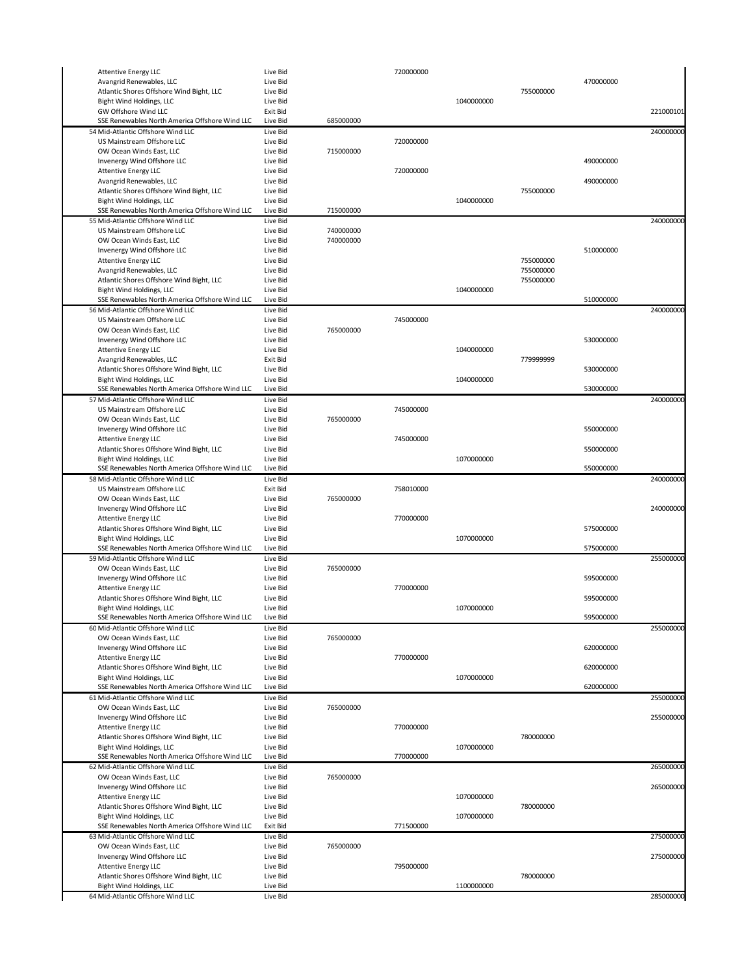| <b>Attentive Energy LLC</b>                                                | Live Bid             |                        | 720000000 |            |           |           |           |
|----------------------------------------------------------------------------|----------------------|------------------------|-----------|------------|-----------|-----------|-----------|
| Avangrid Renewables, LLC                                                   | Live Bid             |                        |           |            |           | 470000000 |           |
| Atlantic Shores Offshore Wind Bight, LLC                                   | Live Bid             |                        |           |            | 755000000 |           |           |
| Bight Wind Holdings, LLC                                                   | Live Bid             |                        |           | 1040000000 |           |           |           |
| GW Offshore Wind LLC<br>SSE Renewables North America Offshore Wind LLC     | Exit Bid<br>Live Bid | 685000000              |           |            |           |           | 221000101 |
| 54 Mid-Atlantic Offshore Wind LLC                                          | Live Bid             |                        |           |            |           |           | 240000000 |
| US Mainstream Offshore LLC                                                 | Live Bid             |                        | 720000000 |            |           |           |           |
| OW Ocean Winds East, LLC                                                   | Live Bid             | 715000000              |           |            |           |           |           |
| Invenergy Wind Offshore LLC                                                | Live Bid             |                        |           |            |           | 490000000 |           |
| <b>Attentive Energy LLC</b>                                                | Live Bid             |                        | 720000000 |            |           |           |           |
| Avangrid Renewables, LLC                                                   | Live Bid             |                        |           |            |           | 490000000 |           |
| Atlantic Shores Offshore Wind Bight, LLC                                   | Live Bid             |                        |           |            | 755000000 |           |           |
| Bight Wind Holdings, LLC                                                   | Live Bid             |                        |           | 1040000000 |           |           |           |
| SSE Renewables North America Offshore Wind LLC                             | Live Bid             | 715000000              |           |            |           |           |           |
| 55 Mid-Atlantic Offshore Wind LLC                                          | Live Bid             |                        |           |            |           |           | 240000000 |
| US Mainstream Offshore LLC<br>OW Ocean Winds East, LLC                     | Live Bid<br>Live Bid | 740000000<br>740000000 |           |            |           |           |           |
| Invenergy Wind Offshore LLC                                                | Live Bid             |                        |           |            |           | 510000000 |           |
| <b>Attentive Energy LLC</b>                                                | Live Bid             |                        |           |            | 755000000 |           |           |
| Avangrid Renewables, LLC                                                   | Live Bid             |                        |           |            | 755000000 |           |           |
| Atlantic Shores Offshore Wind Bight, LLC                                   | Live Bid             |                        |           |            | 755000000 |           |           |
| Bight Wind Holdings, LLC                                                   | Live Bid             |                        |           | 1040000000 |           |           |           |
| SSE Renewables North America Offshore Wind LLC                             | Live Bid             |                        |           |            |           | 510000000 |           |
| 56 Mid-Atlantic Offshore Wind LLC                                          | Live Bid             |                        |           |            |           |           | 240000000 |
| US Mainstream Offshore LLC                                                 | Live Bid             |                        | 745000000 |            |           |           |           |
| OW Ocean Winds East, LLC                                                   | Live Bid             | 765000000              |           |            |           |           |           |
| Invenergy Wind Offshore LLC                                                | Live Bid             |                        |           |            |           | 530000000 |           |
| <b>Attentive Energy LLC</b>                                                | Live Bid             |                        |           | 1040000000 |           |           |           |
| Avangrid Renewables, LLC<br>Atlantic Shores Offshore Wind Bight, LLC       | Exit Bid<br>Live Bid |                        |           |            | 779999999 | 530000000 |           |
| Bight Wind Holdings, LLC                                                   | Live Bid             |                        |           | 1040000000 |           |           |           |
| SSE Renewables North America Offshore Wind LLC                             | Live Bid             |                        |           |            |           | 530000000 |           |
| 57 Mid-Atlantic Offshore Wind LLC                                          | Live Bid             |                        |           |            |           |           | 240000000 |
| US Mainstream Offshore LLC                                                 | Live Bid             |                        | 745000000 |            |           |           |           |
| OW Ocean Winds East, LLC                                                   | Live Bid             | 765000000              |           |            |           |           |           |
| Invenergy Wind Offshore LLC                                                | Live Bid             |                        |           |            |           | 550000000 |           |
| <b>Attentive Energy LLC</b>                                                | Live Bid             |                        | 745000000 |            |           |           |           |
| Atlantic Shores Offshore Wind Bight, LLC                                   | Live Bid             |                        |           |            |           | 550000000 |           |
| Bight Wind Holdings, LLC                                                   | Live Bid             |                        |           | 1070000000 |           |           |           |
| SSE Renewables North America Offshore Wind LLC                             | Live Bid             |                        |           |            |           | 550000000 |           |
| 58 Mid-Atlantic Offshore Wind LLC<br>US Mainstream Offshore LLC            | Live Bid<br>Exit Bid |                        | 758010000 |            |           |           | 240000000 |
| OW Ocean Winds East, LLC                                                   | Live Bid             | 765000000              |           |            |           |           |           |
| Invenergy Wind Offshore LLC                                                | Live Bid             |                        |           |            |           |           | 240000000 |
| <b>Attentive Energy LLC</b>                                                | Live Bid             |                        | 770000000 |            |           |           |           |
| Atlantic Shores Offshore Wind Bight, LLC                                   | Live Bid             |                        |           |            |           | 575000000 |           |
| Bight Wind Holdings, LLC                                                   | Live Bid             |                        |           | 1070000000 |           |           |           |
| SSE Renewables North America Offshore Wind LLC                             | Live Bid             |                        |           |            |           | 575000000 |           |
| 59 Mid-Atlantic Offshore Wind LLC                                          | Live Bid             |                        |           |            |           |           | 255000000 |
| OW Ocean Winds East, LLC                                                   | Live Bid             | 765000000              |           |            |           |           |           |
| Invenergy Wind Offshore LLC                                                | Live Bid             |                        |           |            |           | 595000000 |           |
| <b>Attentive Energy LLC</b>                                                | Live Bid             |                        | 770000000 |            |           |           |           |
| Atlantic Shores Offshore Wind Bight, LLC                                   | Live Bid             |                        |           |            |           | 595000000 |           |
| Bight Wind Holdings, LLC<br>SSE Renewables North America Offshore Wind LLC | Live Bid<br>Live Bid |                        |           | 1070000000 |           | 595000000 |           |
| 60 Mid-Atlantic Offshore Wind LLC                                          | Live Bid             |                        |           |            |           |           | 255000000 |
| OW Ocean Winds East, LLC                                                   | Live Bid             | 765000000              |           |            |           |           |           |
| Invenergy Wind Offshore LLC                                                | Live Bid             |                        |           |            |           | 620000000 |           |
| <b>Attentive Energy LLC</b>                                                | Live Bid             |                        | 770000000 |            |           |           |           |
| Atlantic Shores Offshore Wind Bight, LLC                                   | Live Bid             |                        |           |            |           | 620000000 |           |
| Bight Wind Holdings, LLC                                                   | Live Bid             |                        |           | 1070000000 |           |           |           |
| SSE Renewables North America Offshore Wind LLC                             | Live Bid             |                        |           |            |           | 620000000 |           |
| 61 Mid-Atlantic Offshore Wind LLC                                          | Live Bid             |                        |           |            |           |           | 255000000 |
| OW Ocean Winds East, LLC                                                   | Live Bid             | 765000000              |           |            |           |           |           |
| Invenergy Wind Offshore LLC                                                | Live Bid             |                        |           |            |           |           | 255000000 |
| <b>Attentive Energy LLC</b>                                                | Live Bid             |                        | 770000000 |            |           |           |           |
| Atlantic Shores Offshore Wind Bight, LLC<br>Bight Wind Holdings, LLC       | Live Bid<br>Live Bid |                        |           | 1070000000 | 780000000 |           |           |
| SSE Renewables North America Offshore Wind LLC                             | Live Bid             |                        | 770000000 |            |           |           |           |
| 62 Mid-Atlantic Offshore Wind LLC                                          | Live Bid             |                        |           |            |           |           | 265000000 |
| OW Ocean Winds East, LLC                                                   | Live Bid             | 765000000              |           |            |           |           |           |
| Invenergy Wind Offshore LLC                                                | Live Bid             |                        |           |            |           |           | 265000000 |
| <b>Attentive Energy LLC</b>                                                | Live Bid             |                        |           | 1070000000 |           |           |           |
| Atlantic Shores Offshore Wind Bight, LLC                                   | Live Bid             |                        |           |            | 780000000 |           |           |
| Bight Wind Holdings, LLC                                                   | Live Bid             |                        |           | 1070000000 |           |           |           |
| SSE Renewables North America Offshore Wind LLC                             | Exit Bid             |                        | 771500000 |            |           |           |           |
| 63 Mid-Atlantic Offshore Wind LLC                                          | Live Bid             |                        |           |            |           |           | 275000000 |
| OW Ocean Winds East, LLC                                                   | Live Bid             | 765000000              |           |            |           |           |           |
| Invenergy Wind Offshore LLC<br><b>Attentive Energy LLC</b>                 | Live Bid<br>Live Bid |                        | 795000000 |            |           |           | 275000000 |
| Atlantic Shores Offshore Wind Bight, LLC                                   | Live Bid             |                        |           |            | 780000000 |           |           |
| Bight Wind Holdings, LLC                                                   | Live Bid             |                        |           | 1100000000 |           |           |           |
| 64 Mid-Atlantic Offshore Wind LLC                                          | Live Bid             |                        |           |            |           |           | 285000000 |